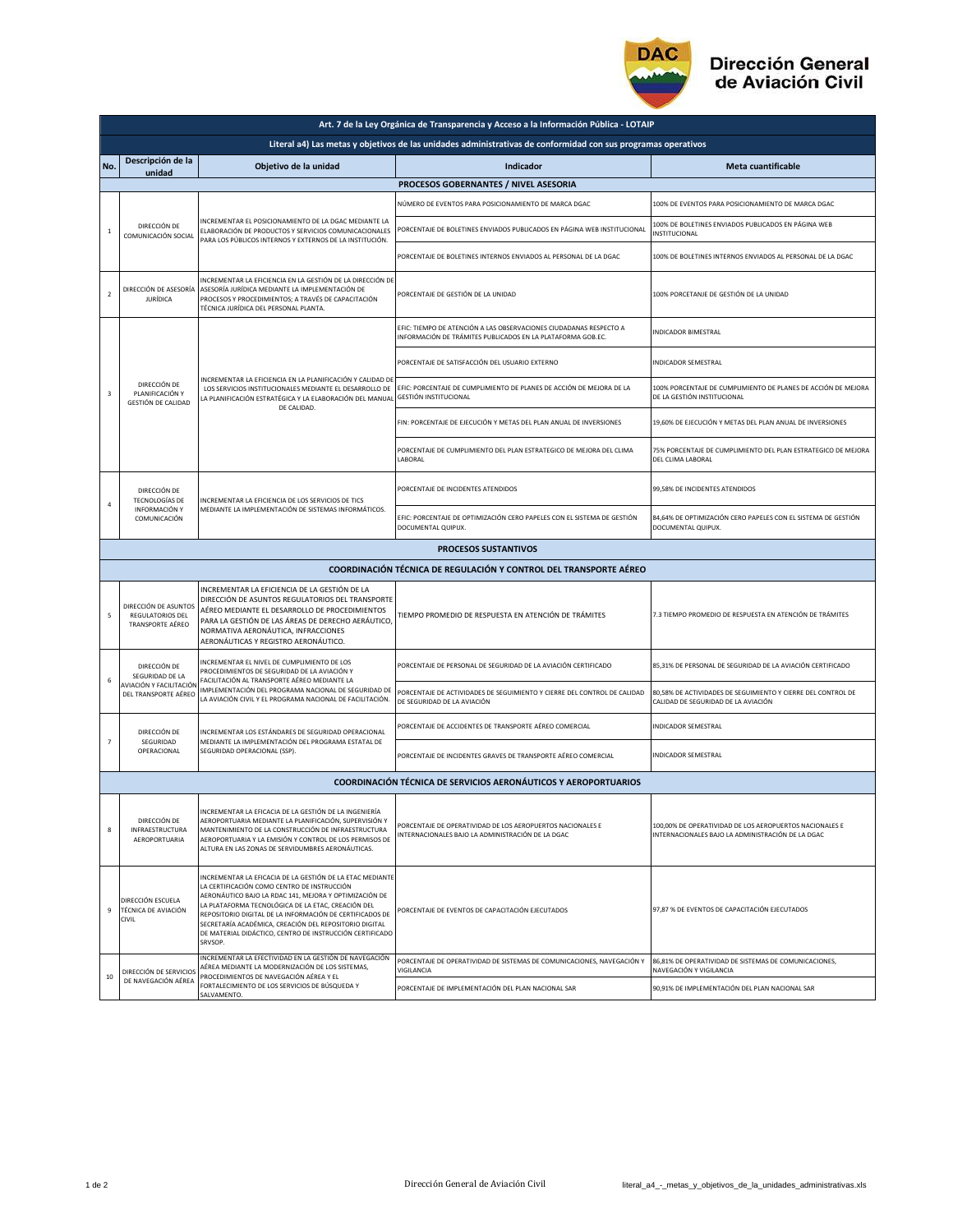

| Art. 7 de la Ley Orgánica de Transparencia y Acceso a la Información Pública - LOTAIP |                                                                                                               |                                                                                                                                                                                                                                                                                                                                                                                                                       |                                                                                                                                   |                                                                                                              |  |  |  |  |
|---------------------------------------------------------------------------------------|---------------------------------------------------------------------------------------------------------------|-----------------------------------------------------------------------------------------------------------------------------------------------------------------------------------------------------------------------------------------------------------------------------------------------------------------------------------------------------------------------------------------------------------------------|-----------------------------------------------------------------------------------------------------------------------------------|--------------------------------------------------------------------------------------------------------------|--|--|--|--|
|                                                                                       | Literal a4) Las metas y objetivos de las unidades administrativas de conformidad con sus programas operativos |                                                                                                                                                                                                                                                                                                                                                                                                                       |                                                                                                                                   |                                                                                                              |  |  |  |  |
| No.                                                                                   | Descripción de la<br>unidad                                                                                   | Objetivo de la unidad                                                                                                                                                                                                                                                                                                                                                                                                 | <b>Indicador</b>                                                                                                                  | <b>Meta cuantificable</b>                                                                                    |  |  |  |  |
|                                                                                       |                                                                                                               |                                                                                                                                                                                                                                                                                                                                                                                                                       | PROCESOS GOBERNANTES / NIVEL ASESORIA                                                                                             |                                                                                                              |  |  |  |  |
| $\,$ 1 $\,$                                                                           | DIRECCIÓN DE<br>COMUNICACIÓN SOCIAL                                                                           | NCREMENTAR EL POSICIONAMIENTO DE LA DGAC MEDIANTE LA<br>ELABORACIÓN DE PRODUCTOS Y SERVICIOS COMUNICACIONALES<br>PARA LOS PÚBLICOS INTERNOS Y EXTERNOS DE LA INSTITUCIÓN.                                                                                                                                                                                                                                             | NÚMERO DE EVENTOS PARA POSICIONAMIENTO DE MARCA DGAC                                                                              | 100% DE EVENTOS PARA POSICIONAMIENTO DE MARCA DGAC                                                           |  |  |  |  |
|                                                                                       |                                                                                                               |                                                                                                                                                                                                                                                                                                                                                                                                                       | PORCENTAJE DE BOLETINES ENVIADOS PUBLICADOS EN PÁGINA WEB INSTITUCIONAL                                                           | 100% DE BOLETINES ENVIADOS PUBLICADOS EN PÁGINA WEB<br>INSTITUCIONAL                                         |  |  |  |  |
|                                                                                       |                                                                                                               |                                                                                                                                                                                                                                                                                                                                                                                                                       | PORCENTAJE DE BOLETINES INTERNOS ENVIADOS AL PERSONAL DE LA DGAC                                                                  | 100% DE BOLETINES INTERNOS ENVIADOS AL PERSONAL DE LA DGAC                                                   |  |  |  |  |
| $\overline{2}$                                                                        | DIRECCIÓN DE ASESORÍA<br><b>JURÍDICA</b>                                                                      | INCREMENTAR LA EFICIENCIA EN LA GESTIÓN DE LA DIRECCIÓN DE<br>ASESORÍA JURÍDICA MEDIANTE LA IMPLEMENTACIÓN DE<br>PROCESOS Y PROCEDIMIENTOS; A TRAVÉS DE CAPACITACIÓN<br>TÉCNICA JURÍDICA DEL PERSONAL PLANTA.                                                                                                                                                                                                         | PORCENTAJE DE GESTIÓN DE LA UNIDAD                                                                                                | 100% PORCETANJE DE GESTIÓN DE LA UNIDAD                                                                      |  |  |  |  |
|                                                                                       | DIRECCIÓN DE<br>PLANIFICACIÓN Y<br>GESTIÓN DE CALIDAD                                                         | INCREMENTAR LA EFICIENCIA EN LA PLANIFICACIÓN Y CALIDAD DE<br>LOS SERVICIOS INSTITUCIONALES MEDIANTE EL DESARROLLO DE<br>LA PLANIFICACIÓN ESTRATÉGICA Y LA ELABORACIÓN DEL MANUAL<br>DE CALIDAD.                                                                                                                                                                                                                      | EFIC: TIEMPO DE ATENCIÓN A LAS OBSERVACIONES CIUDADANAS RESPECTO A<br>INFORMACIÓN DE TRÁMITES PUBLICADOS EN LA PLATAFORMA GOB.EC. | INDICADOR BIMESTRAL                                                                                          |  |  |  |  |
|                                                                                       |                                                                                                               |                                                                                                                                                                                                                                                                                                                                                                                                                       | PORCENTAJE DE SATISFACCIÓN DEL USUARIO EXTERNO                                                                                    | INDICADOR SEMESTRAL                                                                                          |  |  |  |  |
| 3                                                                                     |                                                                                                               |                                                                                                                                                                                                                                                                                                                                                                                                                       | EFIC: PORCENTAJE DE CUMPLIMIENTO DE PLANES DE ACCIÓN DE MEJORA DE LA<br>GESTIÓN INSTITUCIONAL                                     | 100% PORCENTAJE DE CUMPLIMIENTO DE PLANES DE ACCIÓN DE MEJORA<br>DE LA GESTIÓN INSTITUCIONAL                 |  |  |  |  |
|                                                                                       |                                                                                                               |                                                                                                                                                                                                                                                                                                                                                                                                                       | FIN: PORCENTAJE DE EJECUCIÓN Y METAS DEL PLAN ANUAL DE INVERSIONES                                                                | 19,60% DE EJECUCIÓN Y METAS DEL PLAN ANUAL DE INVERSIONES                                                    |  |  |  |  |
|                                                                                       |                                                                                                               |                                                                                                                                                                                                                                                                                                                                                                                                                       | PORCENTAJE DE CUMPLIMIENTO DEL PLAN ESTRATEGICO DE MEJORA DEL CLIMA<br>LABORAL                                                    | 75% PORCENTAJE DE CUMPLIMIENTO DEL PLAN ESTRATEGICO DE MEJORA<br>DEL CLIMA LABORAL                           |  |  |  |  |
|                                                                                       | DIRECCIÓN DE<br><b>TECNOLOGÍAS DE</b><br>INFORMACIÓN Y<br>COMUNICACIÓN                                        | INCREMENTAR LA EFICIENCIA DE LOS SERVICIOS DE TICS<br>MEDIANTE LA IMPLEMENTACIÓN DE SISTEMAS INFORMÁTICOS.                                                                                                                                                                                                                                                                                                            | PORCENTAJE DE INCIDENTES ATENDIDOS                                                                                                | 99,58% DE INCIDENTES ATENDIDOS                                                                               |  |  |  |  |
| $\it 4$                                                                               |                                                                                                               |                                                                                                                                                                                                                                                                                                                                                                                                                       | EFIC: PORCENTAJE DE OPTIMIZACIÓN CERO PAPELES CON EL SISTEMA DE GESTIÓN<br>DOCUMENTAL QUIPUX.                                     | 84,64% DE OPTIMIZACIÓN CERO PAPELES CON EL SISTEMA DE GESTIÓN<br>DOCUMENTAL QUIPUX.                          |  |  |  |  |
|                                                                                       |                                                                                                               |                                                                                                                                                                                                                                                                                                                                                                                                                       | <b>PROCESOS SUSTANTIVOS</b>                                                                                                       |                                                                                                              |  |  |  |  |
| <b>COORDINACIÓN TÉCNICA DE REGULACIÓN Y CONTROL DEL TRANSPORTE AÉREO</b>              |                                                                                                               |                                                                                                                                                                                                                                                                                                                                                                                                                       |                                                                                                                                   |                                                                                                              |  |  |  |  |
| 5                                                                                     | DIRECCIÓN DE ASUNTOS<br><b>REGULATORIOS DEL</b><br>TRANSPORTE AÉREO                                           | INCREMENTAR LA EFICIENCIA DE LA GESTIÓN DE LA<br>DIRECCIÓN DE ASUNTOS REGULATORIOS DEL TRANSPORTE<br>AÉREO MEDIANTE EL DESARROLLO DE PROCEDIMIENTOS<br>PARA LA GESTIÓN DE LAS ÁREAS DE DERECHO AERÁUTICO,<br>NORMATIVA AERONÁUTICA, INFRACCIONES<br>AERONÁUTICAS Y REGISTRO AERONÁUTICO.                                                                                                                              | TIEMPO PROMEDIO DE RESPUESTA EN ATENCIÓN DE TRÁMITES                                                                              | 7.3 TIEMPO PROMEDIO DE RESPUESTA EN ATENCIÓN DE TRÁMITES                                                     |  |  |  |  |
|                                                                                       | DIRECCIÓN DE<br>SEGURIDAD DE LA<br>AVIACIÓN Y FACILITACIÓN<br>DEL TRANSPORTE AÉREO                            | INCREMENTAR EL NIVEL DE CUMPLIMIENTO DE LOS<br>PROCEDIMIENTOS DE SEGURIDAD DE LA AVIACIÓN Y<br>FACILITACIÓN AL TRANSPORTE AÉREO MEDIANTE LA<br>IMPLEMENTACIÓN DEL PROGRAMA NACIONAL DE SEGURIDAD DE<br>LA AVIACIÓN CIVIL Y EL PROGRAMA NACIONAL DE FACILITACIÓN.                                                                                                                                                      | PORCENTAJE DE PERSONAL DE SEGURIDAD DE LA AVIACIÓN CERTIFICADO                                                                    | 85,31% DE PERSONAL DE SEGURIDAD DE LA AVIACIÓN CERTIFICADO                                                   |  |  |  |  |
| 6                                                                                     |                                                                                                               |                                                                                                                                                                                                                                                                                                                                                                                                                       | PORCENTAJE DE ACTIVIDADES DE SEGUIMIENTO Y CIERRE DEL CONTROL DE CALIDAD<br>DE SEGURIDAD DE LA AVIACIÓN                           | 80,58% DE ACTIVIDADES DE SEGUIMIENTO Y CIERRE DEL CONTROL DE<br>CALIDAD DE SEGURIDAD DE LA AVIACIÓN          |  |  |  |  |
|                                                                                       | DIRECCIÓN DE<br>SEGURIDAD<br>OPERACIONAL                                                                      | INCREMENTAR LOS ESTÁNDARES DE SEGURIDAD OPERACIONAL<br>MEDIANTE LA IMPLEMENTACIÓN DEL PROGRAMA ESTATAL DE<br>SEGURIDAD OPERACIONAL (SSP).                                                                                                                                                                                                                                                                             | PORCENTAJE DE ACCIDENTES DE TRANSPORTE AÉREO COMERCIAL                                                                            | <b>INDICADOR SEMESTRAL</b>                                                                                   |  |  |  |  |
| $\overline{\phantom{a}}$                                                              |                                                                                                               |                                                                                                                                                                                                                                                                                                                                                                                                                       | PORCENTAJE DE INCIDENTES GRAVES DE TRANSPORTE AÉREO COMERCIAL                                                                     | <b>INDICADOR SEMESTRAL</b>                                                                                   |  |  |  |  |
| <b>COORDINACIÓN TÉCNICA DE SERVICIOS AERONÁUTICOS Y AEROPORTUARIOS</b>                |                                                                                                               |                                                                                                                                                                                                                                                                                                                                                                                                                       |                                                                                                                                   |                                                                                                              |  |  |  |  |
| 8                                                                                     | DIRECCIÓN DE<br>INFRAESTRUCTURA<br>AEROPORTUARIA                                                              | INCREMENTAR LA EFICACIA DE LA GESTION DE LA INGENIERIA<br>AEROPORTUARIA MEDIANTE LA PLANIFICACIÓN, SUPERVISIÓN Y<br>MANTENIMIENTO DE LA CONSTRUCCIÓN DE INFRAESTRUCTURA<br>AEROPORTUARIA Y LA EMISIÓN Y CONTROL DE LOS PERMISOS DE<br>ALTURA EN LAS ZONAS DE SERVIDUMBRES AERONÁUTICAS.                                                                                                                               | PORCENTAJE DE OPERATIVIDAD DE LOS AEROPUERTOS NACIONALES E<br>INTERNACIONALES BAJO LA ADMINISTRACIÓN DE LA DGAC                   | 100,00% DE OPERATIVIDAD DE LOS AEROPUERTOS NACIONALES E<br>INTERNACIONALES BAJO LA ADMINISTRACIÓN DE LA DGAC |  |  |  |  |
| 9                                                                                     | DIRECCIÓN ESCUELA<br>TÉCNICA DE AVIACIÓN<br><b>CIVIL</b>                                                      | INCREMENTAR LA EFICACIA DE LA GESTIÓN DE LA ETAC MEDIANTE<br>LA CERTIFICACIÓN COMO CENTRO DE INSTRUCCIÓN<br>AERONÁUTICO BAJO LA RDAC 141, MEJORA Y OPTIMIZACIÓN DE<br>LA PLATAFORMA TECNOLÓGICA DE LA ETAC, CREACIÓN DEL<br>REPOSITORIO DIGITAL DE LA INFORMACIÓN DE CERTIFICADOS DE<br>SECRETARÍA ACADÉMICA, CREACIÓN DEL REPOSITORIO DIGITAL<br>DE MATERIAL DIDÁCTICO, CENTRO DE INSTRUCCIÓN CERTIFICADO<br>SRVSOP. | PORCENTAJE DE EVENTOS DE CAPACITACIÓN EJECUTADOS                                                                                  | 97,87 % DE EVENTOS DE CAPACITACIÓN EJECUTADOS                                                                |  |  |  |  |
| $10\,$                                                                                | DIRECCIÓN DE SERVICIOS<br>DE NAVEGACIÓN AÉREA                                                                 | INCREMENTAR LA EFECTIVIDAD EN LA GESTIÓN DE NAVEGACIÓN<br>AÉREA MEDIANTE LA MODERNIZACIÓN DE LOS SISTEMAS,<br>PROCEDIMIENTOS DE NAVEGACIÓN AÉREA Y EL<br>FORTALECIMIENTO DE LOS SERVICIOS DE BÚSQUEDA Y<br>SALVAMENTO.                                                                                                                                                                                                | PORCENTAJE DE OPERATIVIDAD DE SISTEMAS DE COMUNICACIONES, NAVEGACIÓN Y<br>VIGILANCIA                                              | 86,81% DE OPERATIVIDAD DE SISTEMAS DE COMUNICACIONES,<br>NAVEGACIÓN Y VIGILANCIA                             |  |  |  |  |
|                                                                                       |                                                                                                               |                                                                                                                                                                                                                                                                                                                                                                                                                       | PORCENTAJE DE IMPLEMENTACIÓN DEL PLAN NACIONAL SAR                                                                                | 90,91% DE IMPLEMENTACIÓN DEL PLAN NACIONAL SAR                                                               |  |  |  |  |